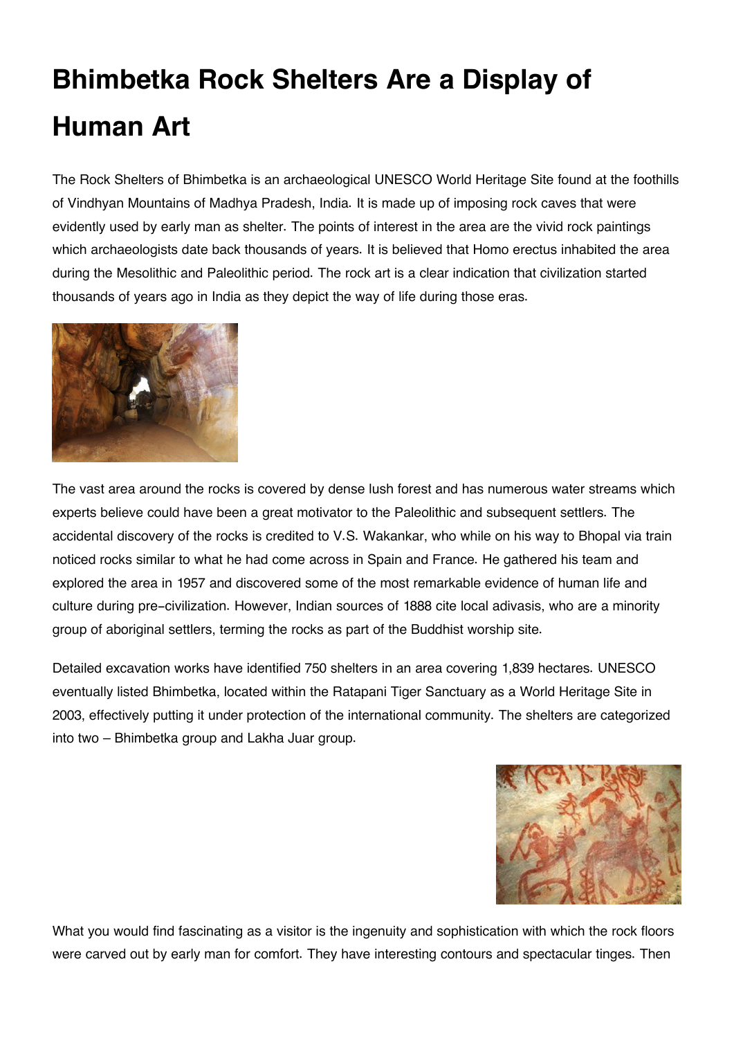## **Bhimbetka Rock Shelters Are a Display of Human Art**

The Rock Shelters of Bhimbetka is an archaeological UNESCO World Heritage Site found at the foothills of Vindhyan Mountains of Madhya Pradesh, India. It is made up of imposing rock caves that were evidently used by early man as shelter. The points of interest in the area are the vivid rock paintings which archaeologists date back thousands of years. It is believed that Homo erectus inhabited the area during the Mesolithic and Paleolithic period. The rock art is a clear indication that civilization started thousands of years ago in India as they depict the way of life during those eras.



The vast area around the rocks is covered by dense lush forest and has numerous water streams which experts believe could have been a great motivator to the Paleolithic and subsequent settlers. The accidental discovery of the rocks is credited to V.S. Wakankar, who while on his way to Bhopal via train noticed rocks similar to what he had come across in Spain and France. He gathered his team and explored the area in 1957 and discovered some of the most remarkable evidence of human life and culture during pre-civilization. However, Indian sources of 1888 cite local adivasis, who are a minority group of aboriginal settlers, terming the rocks as part of the Buddhist worship site.

Detailed excavation works have identified 750 shelters in an area covering 1,839 hectares. UNESCO eventually listed Bhimbetka, located within the Ratapani Tiger Sanctuary as a World Heritage Site in 2003, effectively putting it under protection of the international community. The shelters are categorized into two – Bhimbetka group and Lakha Juar group.



What you would find fascinating as a visitor is the ingenuity and sophistication with which the rock floors were carved out by early man for comfort. They have interesting contours and spectacular tinges. Then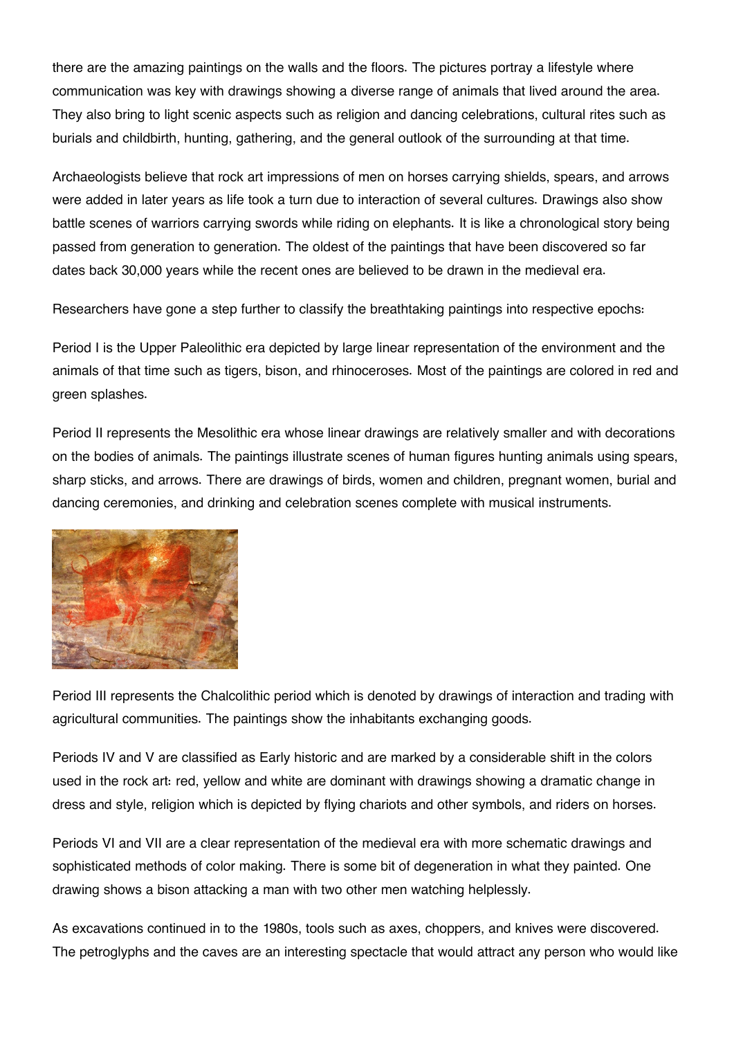there are the amazing paintings on the walls and the floors. The pictures portray a lifestyle where communication was key with drawings showing a diverse range of animals that lived around the area. They also bring to light scenic aspects such as religion and dancing celebrations, cultural rites such as burials and childbirth, hunting, gathering, and the general outlook of the surrounding at that time.

Archaeologists believe that rock art impressions of men on horses carrying shields, spears, and arrows were added in later years as life took a turn due to interaction of several cultures. Drawings also show battle scenes of warriors carrying swords while riding on elephants. It is like a chronological story being passed from generation to generation. The oldest of the paintings that have been discovered so far dates back 30,000 years while the recent ones are believed to be drawn in the medieval era.

Researchers have gone a step further to classify the breathtaking paintings into respective epochs:

Period I is the Upper Paleolithic era depicted by large linear representation of the environment and the animals of that time such as tigers, bison, and rhinoceroses. Most of the paintings are colored in red and green splashes.

Period II represents the Mesolithic era whose linear drawings are relatively smaller and with decorations on the bodies of animals. The paintings illustrate scenes of human figures hunting animals using spears, sharp sticks, and arrows. There are drawings of birds, women and children, pregnant women, burial and dancing ceremonies, and drinking and celebration scenes complete with musical instruments.



Period III represents the Chalcolithic period which is denoted by drawings of interaction and trading with agricultural communities. The paintings show the inhabitants exchanging goods.

Periods IV and V are classified as Early historic and are marked by a considerable shift in the colors used in the rock art: red, yellow and white are dominant with drawings showing a dramatic change in dress and style, religion which is depicted by flying chariots and other symbols, and riders on horses.

Periods VI and VII are a clear representation of the medieval era with more schematic drawings and sophisticated methods of color making. There is some bit of degeneration in what they painted. One drawing shows a bison attacking a man with two other men watching helplessly.

As excavations continued in to the 1980s, tools such as axes, choppers, and knives were discovered. The petroglyphs and the caves are an interesting spectacle that would attract any person who would like